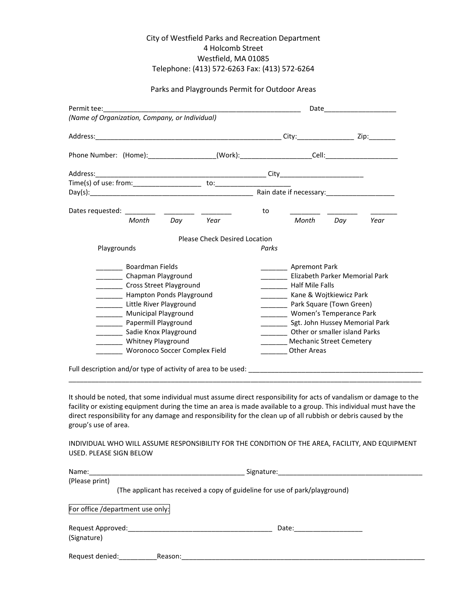# City of Westfield Parks and Recreation Department 4 Holcomb Street Westfield, MA 01085 Telephone: (413) 572-6263 Fax: (413) 572-6264

#### Parks and Playgrounds Permit for Outdoor Areas

|                                                |                               |       | Date _________________         |           |      |  |
|------------------------------------------------|-------------------------------|-------|--------------------------------|-----------|------|--|
| (Name of Organization, Company, or Individual) |                               |       |                                |           |      |  |
|                                                |                               |       |                                |           |      |  |
|                                                |                               |       |                                |           |      |  |
|                                                |                               |       |                                |           |      |  |
|                                                |                               |       |                                |           |      |  |
|                                                |                               |       |                                |           |      |  |
|                                                |                               | to    |                                |           |      |  |
| Day Year<br>Month                              |                               |       |                                | Month Day | Year |  |
|                                                | Please Check Desired Location |       |                                |           |      |  |
| Playgrounds                                    |                               | Parks |                                |           |      |  |
| <b>Boardman Fields</b>                         |                               |       | Apremont Park                  |           |      |  |
| Chapman Playground                             |                               |       | Elizabeth Parker Memorial Park |           |      |  |
| Cross Street Playground                        |                               |       | Half Mile Falls                |           |      |  |
| Hampton Ponds Playground                       |                               |       | Kane & Wojtkiewicz Park        |           |      |  |
| Little River Playground                        |                               |       | Park Square (Town Green)       |           |      |  |
| Municipal Playground                           |                               |       | Women's Temperance Park        |           |      |  |
| _______ Papermill Playground                   |                               |       | Sgt. John Hussey Memorial Park |           |      |  |
| Sadie Knox Playground                          |                               |       | Other or smaller island Parks  |           |      |  |
| <b>Whitney Playground</b>                      |                               |       | Mechanic Street Cemetery       |           |      |  |
| Woronoco Soccer Complex Field                  |                               |       | <b>Other Areas</b>             |           |      |  |

It should be noted, that some individual must assume direct responsibility for acts of vandalism or damage to the facility or existing equipment during the time an area is made available to a group. This individual must have the direct responsibility for any damage and responsibility for the clean up of all rubbish or debris caused by the group's use of area.

INDIVIDUAL WHO WILL ASSUME RESPONSIBILITY FOR THE CONDITION OF THE AREA, FACILITY, AND EQUIPMENT USED. PLEASE SIGN BELOW

| Name:             | Signature:                                                                  |  |  |  |  |
|-------------------|-----------------------------------------------------------------------------|--|--|--|--|
| (Please print)    |                                                                             |  |  |  |  |
|                   | (The applicant has received a copy of guideline for use of park/playground) |  |  |  |  |
|                   | For office /department use only:                                            |  |  |  |  |
| Request Approved: | Date:                                                                       |  |  |  |  |
| (Signature)       |                                                                             |  |  |  |  |
| Request denied:   | Reason:                                                                     |  |  |  |  |